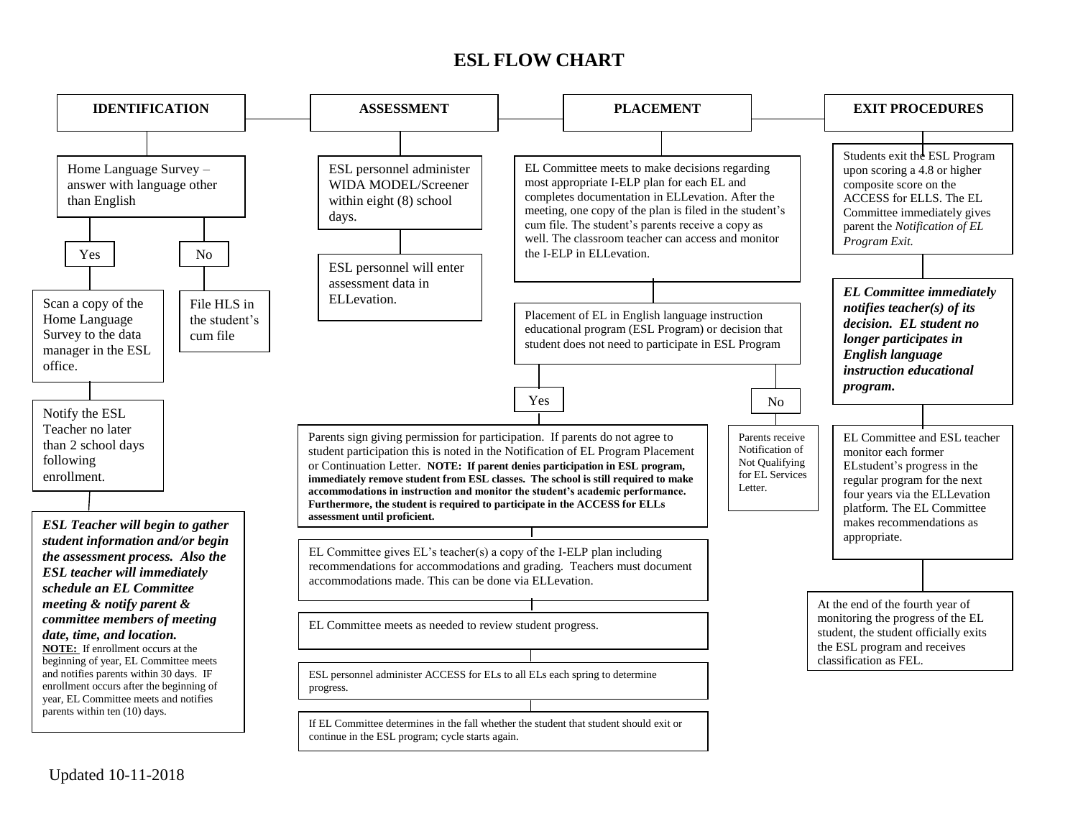## **ESL FLOW CHART**